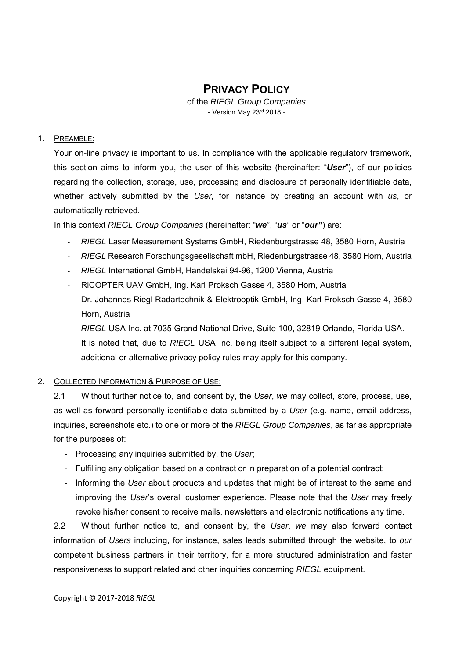# **PRIVACY POLICY**

of the *RIEGL Group Companies* - Version May 23rd 2018 -

#### 1. PREAMBLE:

Your on-line privacy is important to us. In compliance with the applicable regulatory framework, this section aims to inform you, the user of this website (hereinafter: "*User*"), of our policies regarding the collection, storage, use, processing and disclosure of personally identifiable data, whether actively submitted by the *User,* for instance by creating an account with *us*, or automatically retrieved.

In this context *RIEGL Group Companies* (hereinafter: "*we*", "*us*" or "*our"*) are:

- ‐ *RIEGL* Laser Measurement Systems GmbH, Riedenburgstrasse 48, 3580 Horn, Austria
- ‐ *RIEGL* Research Forschungsgesellschaft mbH, Riedenburgstrasse 48, 3580 Horn, Austria
- ‐ *RIEGL* International GmbH, Handelskai 94-96, 1200 Vienna, Austria
- ‐ RiCOPTER UAV GmbH, Ing. Karl Proksch Gasse 4, 3580 Horn, Austria
- ‐ Dr. Johannes Riegl Radartechnik & Elektrooptik GmbH, Ing. Karl Proksch Gasse 4, 3580 Horn, Austria
- ‐ *RIEGL* USA Inc. at 7035 Grand National Drive, Suite 100, 32819 Orlando, Florida USA. It is noted that, due to *RIEGL* USA Inc. being itself subject to a different legal system, additional or alternative privacy policy rules may apply for this company.

### 2. COLLECTED INFORMATION & PURPOSE OF USE:

2.1 Without further notice to, and consent by, the *User*, *we* may collect, store, process, use, as well as forward personally identifiable data submitted by a *User* (e.g. name, email address, inquiries, screenshots etc.) to one or more of the *RIEGL Group Companies*, as far as appropriate for the purposes of:

- ‐ Processing any inquiries submitted by, the *User*;
- ‐ Fulfilling any obligation based on a contract or in preparation of a potential contract;
- ‐ Informing the *User* about products and updates that might be of interest to the same and improving the *User*'s overall customer experience. Please note that the *User* may freely revoke his/her consent to receive mails, newsletters and electronic notifications any time.

2.2 Without further notice to, and consent by, the *User*, *we* may also forward contact information of *Users* including, for instance, sales leads submitted through the website, to *our* competent business partners in their territory, for a more structured administration and faster responsiveness to support related and other inquiries concerning *RIEGL* equipment.

Copyright © 2017‐2018 *RIEGL*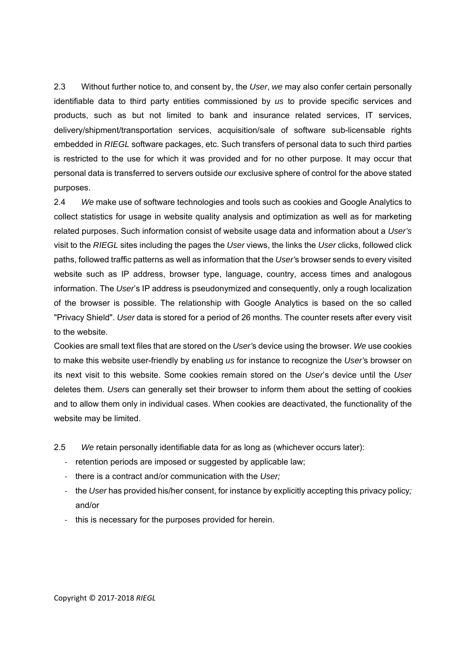2.3 Without further notice to, and consent by, the *User*, *we* may also confer certain personally identifiable data to third party entities commissioned by *us* to provide specific services and products, such as but not limited to bank and insurance related services, IT services, delivery/shipment/transportation services, acquisition/sale of software sub-licensable rights embedded in *RIEGL* software packages, etc. Such transfers of personal data to such third parties is restricted to the use for which it was provided and for no other purpose. It may occur that personal data is transferred to servers outside *our* exclusive sphere of control for the above stated purposes.

2.4 *We* make use of software technologies and tools such as cookies and Google Analytics to collect statistics for usage in website quality analysis and optimization as well as for marketing related purposes. Such information consist of website usage data and information about a *User's* visit to the *RIEGL* sites including the pages the *User* views, the links the *User* clicks, followed click paths, followed traffic patterns as well as information that the *User'*s browser sends to every visited website such as IP address, browser type, language, country, access times and analogous information. The *User*'s IP address is pseudonymized and consequently, only a rough localization of the browser is possible. The relationship with Google Analytics is based on the so called "Privacy Shield". *User* data is stored for a period of 26 months. The counter resets after every visit to the website.

Cookies are small text files that are stored on the *User'*s device using the browser. *We* use cookies to make this website user-friendly by enabling *us* for instance to recognize the *User'*s browser on its next visit to this website. Some cookies remain stored on the *User*'s device until the *User*  deletes them. *User*s can generally set their browser to inform them about the setting of cookies and to allow them only in individual cases. When cookies are deactivated, the functionality of the website may be limited.

2.5 *We* retain personally identifiable data for as long as (whichever occurs later):

- ‐ retention periods are imposed or suggested by applicable law;
- ‐ there is a contract and/or communication with the *User;*
- ‐ the *User* has provided his/her consent, for instance by explicitly accepting this privacy policy*;*  and/or
- ‐ this is necessary for the purposes provided for herein.